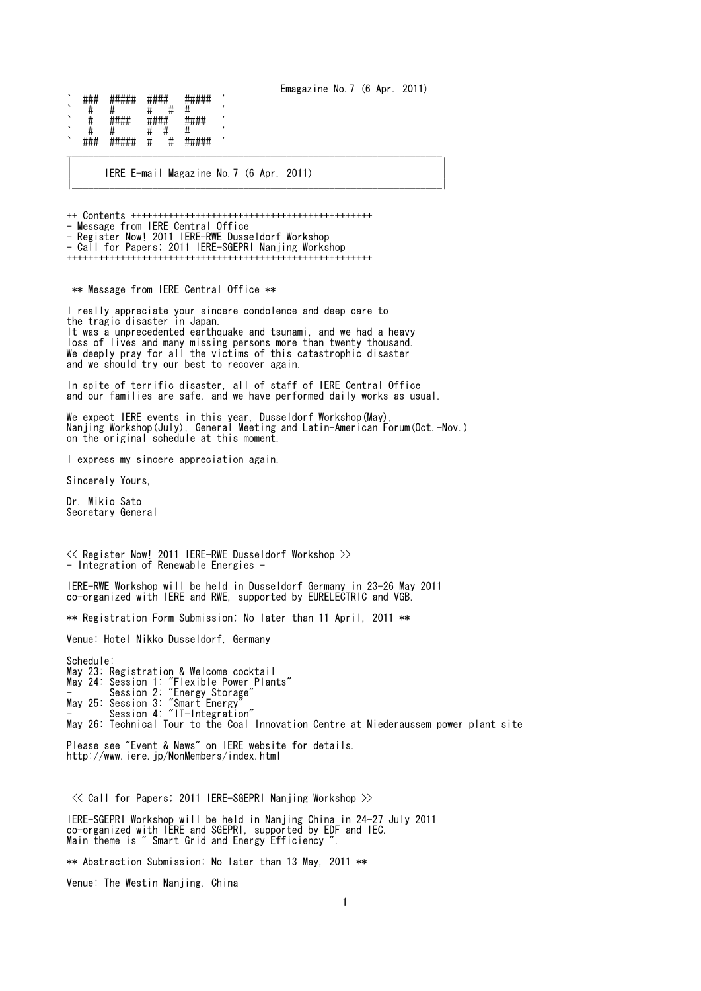Emagazine No.7 (6 Apr. 2011)

` ### ##### #### ##### ' ` # # # # # ' ##### ##### ` # # # # # ' ` ### ##### # # ##### ' \_\_\_\_\_\_\_\_\_\_\_\_\_\_\_\_\_\_\_\_\_\_\_\_\_\_\_\_\_\_\_\_\_\_\_\_\_\_\_\_\_\_\_\_\_\_\_\_\_\_\_\_\_\_\_\_\_\_\_\_\_\_\_\_\_\_\_\_\_\_ | |

| IERE E-mail Magazine No.7 (6 Apr. 2011) | |\_\_\_\_\_\_\_\_\_\_\_\_\_\_\_\_\_\_\_\_\_\_\_\_\_\_\_\_\_\_\_\_\_\_\_\_\_\_\_\_\_\_\_\_\_\_\_\_\_\_\_\_\_\_\_\_\_\_\_\_\_\_\_\_\_\_\_\_\_| ++ Contents +++++++++++++++++++++++++++++++++++++++++++++ - Message from IERE Central Office - Register Now! 2011 IERE-RWE Dusseldorf Workshop - Call for Papers; 2011 IERE-SGEPRI Nanjing Workshop +++++++++++++++++++++++++++++++++++++++++++++++++++++++++ \*\* Message from IERE Central Office \*\* I really appreciate your sincere condolence and deep care to the tragic disaster in Japan. It was a unprecedented earthquake and tsunami, and we had a heavy loss of lives and many missing persons more than twenty thousand. We deeply pray for all the victims of this catastrophic disaster and we should try our best to recover again. In spite of terrific disaster, all of staff of IERE Central Office and our families are safe, and we have performed daily works as usual. We expect IERE events in this year, Dusseldorf Workshop(May), Nanjing Workshop(July), General Meeting and Latin-American Forum(Oct.-Nov.) on the original schedule at this moment. I express my sincere appreciation again. Sincerely Yours, Dr. Mikio Sato Secretary General << Register Now! 2011 IERE-RWE Dusseldorf Workshop >> - Integration of Renewable Energies IERE-RWE Workshop will be held in Dusseldorf Germany in 23-26 May 2011 co-organized with IERE and RWE, supported by EURELECTRIC and VGB. \*\* Registration Form Submission; No later than 11 April, 2011 \*\* Venue: Hotel Nikko Dusseldorf, Germany Schedule; May 23: Registration & Welcome cocktail May 24: Session 1: "Flexible Power Plants" - Session 2: "Energy Storage" May 25: Session 3: "Smart Energy" - Session 4: "IT-Integration" May 26: Technical Tour to the Coal Innovation Centre at Niederaussem power plant site Please see "Event & News" on IERE website for details. http://www.iere.jp/NonMembers/index.html << Call for Papers; 2011 IERE-SGEPRI Nanjing Workshop >>

IERE-SGEPRI Workshop will be held in Nanjing China in 24-27 July 2011 co-organized with IERE and SGEPRI, supported by EDF and IEC. Main theme is " Smart Grid and Energy Efficiency ".

\*\* Abstraction Submission; No later than 13 May, 2011 \*\*

Venue: The Westin Nanjing, China